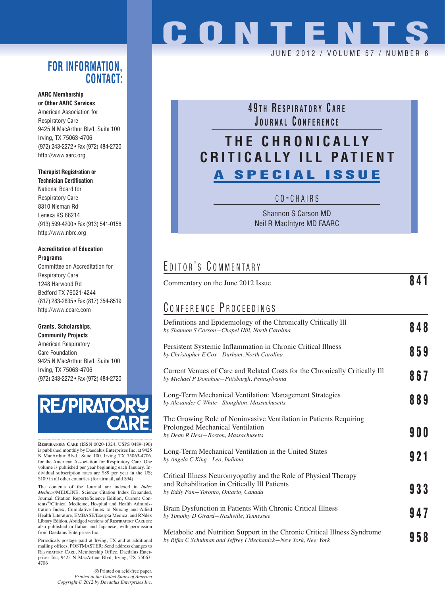### **FOR INFORMATION, CONTACT:**

#### **AARC Membership or Other AARC Services**

American Association for Respiratory Care 9425 N MacArthur Blvd, Suite 100 Irving, TX 75063-4706 (972) 243-2272 • Fax (972) 484-2720 http://www.aarc.org

### **Therapist Registration or**

**Technician Certification** National Board for Respiratory Care 8310 Nieman Rd Lenexa KS 66214 (913) 599-4200 • Fax (913) 541-0156 http://www.nbrc.org

#### **Accreditation of Education Programs**

Committee on Accreditation for Respiratory Care 1248 Harwood Rd Bedford TX 76021-4244 (817) 283-2835 • Fax (817) 354-8519 http://www.coarc.com

### **Grants, Scholarships,**

**Community Projects** American Respiratory Care Foundation 9425 N MacArthur Blvd, Suite 100 Irving, TX 75063-4706 (972) 243-2272 • Fax (972) 484-2720

# **RESPIRATO**

**RESPIRATORY CARE** (ISSN 0020-1324, USPS 0489-190) is published monthly by Daedalus Enterprises Inc, at 9425 N MacArthur Blvd., Suite 100, Irving, TX 75063-4706, for the American Association for Respiratory Care. One volume is published per year beginning each January. Individual subscription rates are \$89 per year in the US; \$109 in all other countries (for airmail, add \$94).

The contents of the Journal are indexed in *Index Medicus*/MEDLINE, Science Citation Index Expanded, Journal Citation Reports/Science Edition, Current Contents®/Clinical Medicine, Hospital and Health Administration Index, Cumulative Index to Nursing and Allied Health Literature, EMBASE/Exerpta Medica, and RNdex Library Edition. Abridged versions of RESPIRATORY CARE are also published in Italian and Japanese, with permission from Daedalus Enterprises Inc.

Periodicals postage paid at Irving, TX and at additional mailing offices. POSTMASTER: Send address changes to RESPIRATORY CARE, Membership Office, Daedalus Enterprises Inc, 9425 N MacArthur Blvd, Irving, TX 75063- 4706

> Printed on acid-free paper. *Printed in the United States of America Copyright © 2012 by Daedalus Enterprises Inc.*

# **CONTENTS**

JUNE 2012 / VOLUME 57 / NUMBER 6

**4 9 T H R ESPIRATORY C ARE J OURNAL C ONFERENCE**

## **THE CHRONICALLY CRITICALLY ILL PATIENT A SPECIAL ISSUE**

#### C O - CHAIRS

Shannon S Carson MD Neil R MacIntyre MD FAARC

Commentary on the June 2012 Issue **841**

## EDITOR'S COMMENTARY

| CONFERENCE PROCEEDINGS                                                                                                                                   |            |
|----------------------------------------------------------------------------------------------------------------------------------------------------------|------------|
| Definitions and Epidemiology of the Chronically Critically Ill<br>by Shannon S Carson-Chapel Hill, North Carolina                                        | 848        |
| Persistent Systemic Inflammation in Chronic Critical Illness<br>by Christopher E Cox-Durham, North Carolina                                              | 859        |
| Current Venues of Care and Related Costs for the Chronically Critically Ill<br>by Michael P Donahoe-Pittsburgh, Pennsylvania                             | 867        |
| Long-Term Mechanical Ventilation: Management Strategies<br>by Alexander C White-Stoughton, Massachusetts                                                 | 889        |
| The Growing Role of Noninvasive Ventilation in Patients Requiring<br>Prolonged Mechanical Ventilation<br>by Dean R Hess-Boston, Massachusetts            | <b>900</b> |
| Long-Term Mechanical Ventilation in the United States<br>by Angela C King-Leo, Indiana                                                                   | 921        |
| Critical Illness Neuromyopathy and the Role of Physical Therapy<br>and Rehabilitation in Critically Ill Patients<br>by Eddy Fan-Toronto, Ontario, Canada | 933        |
| Brain Dysfunction in Patients With Chronic Critical Illness<br>by Timothy D Girard-Nashville, Tennessee                                                  | 947        |
| Metabolic and Nutrition Support in the Chronic Critical Illness Syndrome<br>by Rifka C Schulman and Jeffrey I Mechanick-New York, New York               | 958        |